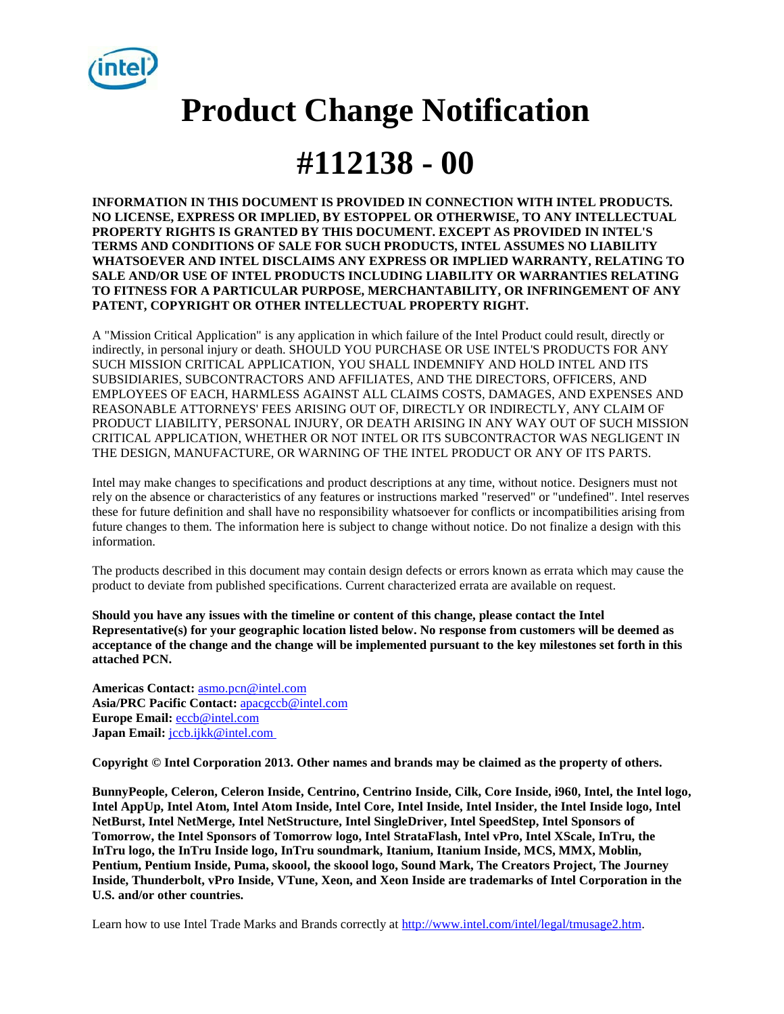

# **Product Change Notification**

## **#112138 - 00**

**INFORMATION IN THIS DOCUMENT IS PROVIDED IN CONNECTION WITH INTEL PRODUCTS. NO LICENSE, EXPRESS OR IMPLIED, BY ESTOPPEL OR OTHERWISE, TO ANY INTELLECTUAL PROPERTY RIGHTS IS GRANTED BY THIS DOCUMENT. EXCEPT AS PROVIDED IN INTEL'S TERMS AND CONDITIONS OF SALE FOR SUCH PRODUCTS, INTEL ASSUMES NO LIABILITY WHATSOEVER AND INTEL DISCLAIMS ANY EXPRESS OR IMPLIED WARRANTY, RELATING TO SALE AND/OR USE OF INTEL PRODUCTS INCLUDING LIABILITY OR WARRANTIES RELATING TO FITNESS FOR A PARTICULAR PURPOSE, MERCHANTABILITY, OR INFRINGEMENT OF ANY PATENT, COPYRIGHT OR OTHER INTELLECTUAL PROPERTY RIGHT.** 

A "Mission Critical Application" is any application in which failure of the Intel Product could result, directly or indirectly, in personal injury or death. SHOULD YOU PURCHASE OR USE INTEL'S PRODUCTS FOR ANY SUCH MISSION CRITICAL APPLICATION, YOU SHALL INDEMNIFY AND HOLD INTEL AND ITS SUBSIDIARIES, SUBCONTRACTORS AND AFFILIATES, AND THE DIRECTORS, OFFICERS, AND EMPLOYEES OF EACH, HARMLESS AGAINST ALL CLAIMS COSTS, DAMAGES, AND EXPENSES AND REASONABLE ATTORNEYS' FEES ARISING OUT OF, DIRECTLY OR INDIRECTLY, ANY CLAIM OF PRODUCT LIABILITY, PERSONAL INJURY, OR DEATH ARISING IN ANY WAY OUT OF SUCH MISSION CRITICAL APPLICATION, WHETHER OR NOT INTEL OR ITS SUBCONTRACTOR WAS NEGLIGENT IN THE DESIGN, MANUFACTURE, OR WARNING OF THE INTEL PRODUCT OR ANY OF ITS PARTS.

Intel may make changes to specifications and product descriptions at any time, without notice. Designers must not rely on the absence or characteristics of any features or instructions marked "reserved" or "undefined". Intel reserves these for future definition and shall have no responsibility whatsoever for conflicts or incompatibilities arising from future changes to them. The information here is subject to change without notice. Do not finalize a design with this information.

The products described in this document may contain design defects or errors known as errata which may cause the product to deviate from published specifications. Current characterized errata are available on request.

**Should you have any issues with the timeline or content of this change, please contact the Intel Representative(s) for your geographic location listed below. No response from customers will be deemed as acceptance of the change and the change will be implemented pursuant to the key milestones set forth in this attached PCN.**

**Americas Contact:** [asmo.pcn@intel.com](mailto:asmo.pcn@intel.com)  **Asia/PRC Pacific Contact:** [apacgccb@intel.com](mailto:apacgccb@intel.com) **Europe Email:** [eccb@intel.com](mailto:eccb@intel.com)  **Japan Email:** [jccb.ijkk@intel.com](mailto:jccb.ijkk@intel.com) 

**Copyright © Intel Corporation 2013. Other names and brands may be claimed as the property of others.**

**BunnyPeople, Celeron, Celeron Inside, Centrino, Centrino Inside, Cilk, Core Inside, i960, Intel, the Intel logo, Intel AppUp, Intel Atom, Intel Atom Inside, Intel Core, Intel Inside, Intel Insider, the Intel Inside logo, Intel NetBurst, Intel NetMerge, Intel NetStructure, Intel SingleDriver, Intel SpeedStep, Intel Sponsors of Tomorrow, the Intel Sponsors of Tomorrow logo, Intel StrataFlash, Intel vPro, Intel XScale, InTru, the InTru logo, the InTru Inside logo, InTru soundmark, Itanium, Itanium Inside, MCS, MMX, Moblin, Pentium, Pentium Inside, Puma, skoool, the skoool logo, Sound Mark, The Creators Project, The Journey Inside, Thunderbolt, vPro Inside, VTune, Xeon, and Xeon Inside are trademarks of Intel Corporation in the U.S. and/or other countries.**

Learn how to use Intel Trade Marks and Brands correctly at [http://www.intel.com/intel/legal/tmusage2.htm.](http://www.intel.com/intel/legal/tmusage2.htm)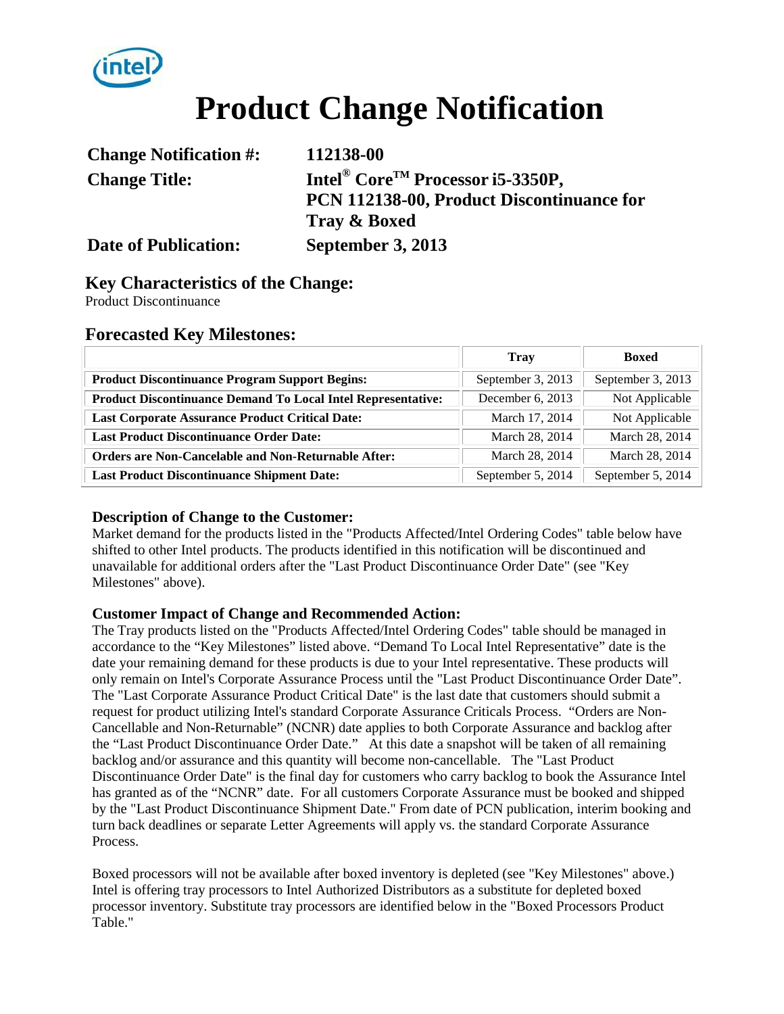

# **Product Change Notification**

| <b>Change Notification #:</b> |
|-------------------------------|
| <b>Change Title:</b>          |

**Change Notification #: 112138-00 Change Title: Intel® CoreTM Processor i5-3350P, PCN 112138-00, Product Discontinuance for Tray & Boxed**

**Date of Publication: September 3, 2013**

#### **Key Characteristics of the Change:**

Product Discontinuance

#### **Forecasted Key Milestones:**

|                                                                     | <b>Tray</b>       | <b>Boxed</b>      |
|---------------------------------------------------------------------|-------------------|-------------------|
| <b>Product Discontinuance Program Support Begins:</b>               | September 3, 2013 | September 3, 2013 |
| <b>Product Discontinuance Demand To Local Intel Representative:</b> | December 6, 2013  | Not Applicable    |
| <b>Last Corporate Assurance Product Critical Date:</b>              | March 17, 2014    | Not Applicable    |
| <b>Last Product Discontinuance Order Date:</b>                      | March 28, 2014    | March 28, 2014    |
| <b>Orders are Non-Cancelable and Non-Returnable After:</b>          | March 28, 2014    | March 28, 2014    |
| <b>Last Product Discontinuance Shipment Date:</b>                   | September 5, 2014 | September 5, 2014 |

#### **Description of Change to the Customer:**

Market demand for the products listed in the "Products Affected/Intel Ordering Codes" table below have shifted to other Intel products. The products identified in this notification will be discontinued and unavailable for additional orders after the "Last Product Discontinuance Order Date" (see "Key Milestones" above).

#### **Customer Impact of Change and Recommended Action:**

The Tray products listed on the "Products Affected/Intel Ordering Codes" table should be managed in accordance to the "Key Milestones" listed above. "Demand To Local Intel Representative" date is the date your remaining demand for these products is due to your Intel representative. These products will only remain on Intel's Corporate Assurance Process until the "Last Product Discontinuance Order Date". The "Last Corporate Assurance Product Critical Date" is the last date that customers should submit a request for product utilizing Intel's standard Corporate Assurance Criticals Process. "Orders are Non-Cancellable and Non-Returnable" (NCNR) date applies to both Corporate Assurance and backlog after the "Last Product Discontinuance Order Date." At this date a snapshot will be taken of all remaining backlog and/or assurance and this quantity will become non-cancellable. The "Last Product Discontinuance Order Date" is the final day for customers who carry backlog to book the Assurance Intel has granted as of the "NCNR" date. For all customers Corporate Assurance must be booked and shipped by the "Last Product Discontinuance Shipment Date." From date of PCN publication, interim booking and turn back deadlines or separate Letter Agreements will apply vs. the standard Corporate Assurance Process.

Boxed processors will not be available after boxed inventory is depleted (see "Key Milestones" above.) Intel is offering tray processors to Intel Authorized Distributors as a substitute for depleted boxed processor inventory. Substitute tray processors are identified below in the "Boxed Processors Product Table."